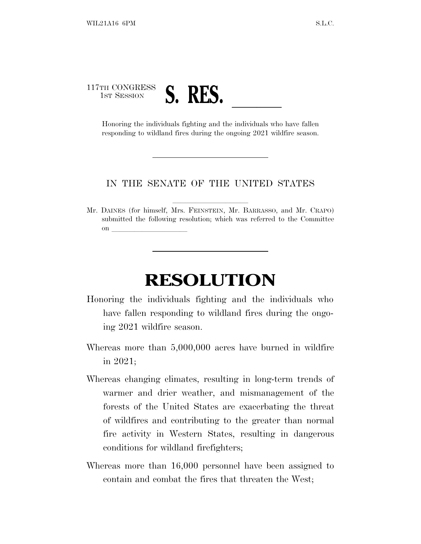## 117TH CONGRESS TH CONGRESS **S. RES.**<br>
Honoring the individuals fighting and the individuals who have fallen

responding to wildland fires during the ongoing 2021 wildfire season.

## IN THE SENATE OF THE UNITED STATES

Mr. DAINES (for himself, Mrs. FEINSTEIN, Mr. BARRASSO, and Mr. CRAPO) submitted the following resolution; which was referred to the Committee on  $\overline{\qquad \qquad }$ 

## **RESOLUTION**

- Honoring the individuals fighting and the individuals who have fallen responding to wildland fires during the ongoing 2021 wildfire season.
- Whereas more than 5,000,000 acres have burned in wildfire in 2021;
- Whereas changing climates, resulting in long-term trends of warmer and drier weather, and mismanagement of the forests of the United States are exacerbating the threat of wildfires and contributing to the greater than normal fire activity in Western States, resulting in dangerous conditions for wildland firefighters;
- Whereas more than 16,000 personnel have been assigned to contain and combat the fires that threaten the West;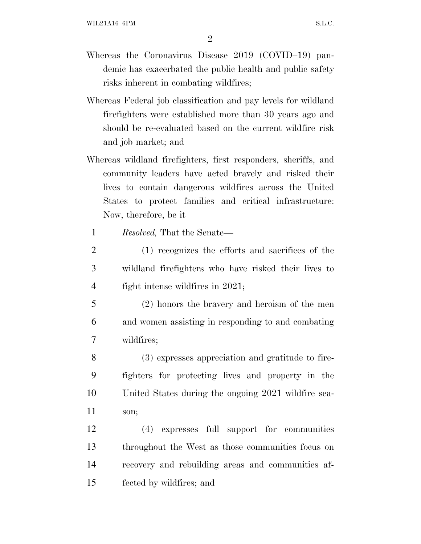- Whereas the Coronavirus Disease 2019 (COVID–19) pandemic has exacerbated the public health and public safety risks inherent in combating wildfires;
- Whereas Federal job classification and pay levels for wildland firefighters were established more than 30 years ago and should be re-evaluated based on the current wildfire risk and job market; and
- Whereas wildland firefighters, first responders, sheriffs, and community leaders have acted bravely and risked their lives to contain dangerous wildfires across the United States to protect families and critical infrastructure: Now, therefore, be it
	- 1 *Resolved,* That the Senate—
- 2 (1) recognizes the efforts and sacrifices of the 3 wildland firefighters who have risked their lives to 4 fight intense wildfires in 2021;
- 5 (2) honors the bravery and heroism of the men 6 and women assisting in responding to and combating 7 wildfires;
- 8 (3) expresses appreciation and gratitude to fire-9 fighters for protecting lives and property in the 10 United States during the ongoing 2021 wildfire sea-11 son;

 (4) expresses full support for communities throughout the West as those communities focus on recovery and rebuilding areas and communities af-fected by wildfires; and